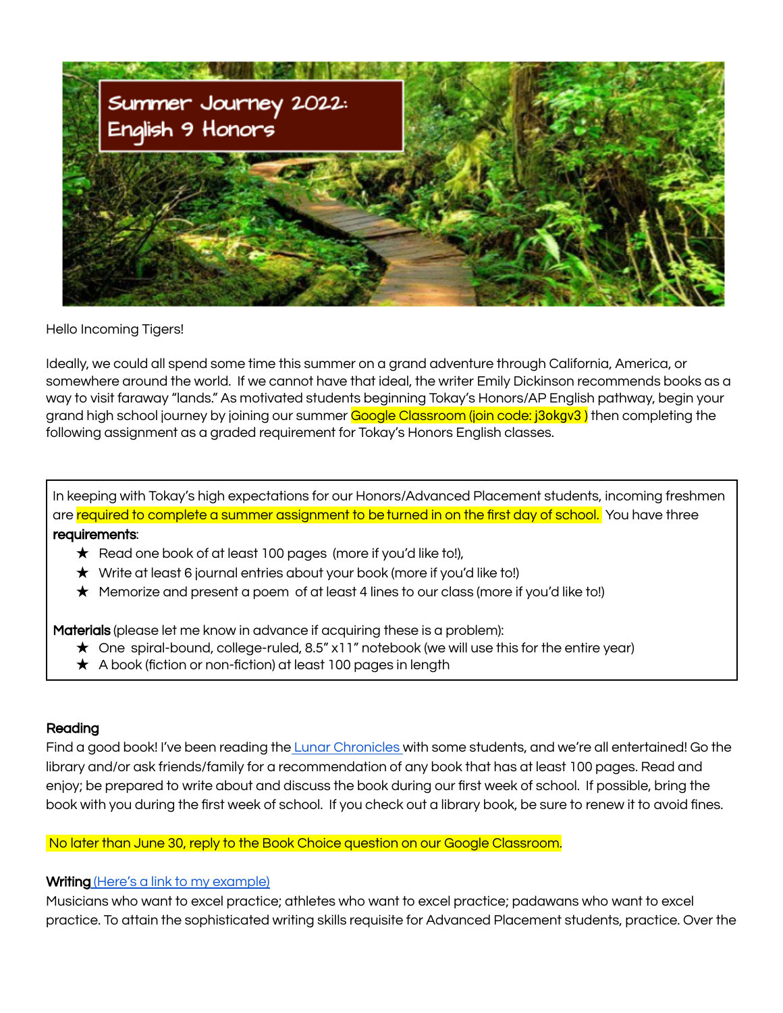

Hello Incoming Tigers!

Ideally, we could all spend some time this summer on a grand adventure through California, America, or somewhere around the world. If we cannot have that ideal, the writer Emily Dickinson recommends books as a way to visit faraway "lands." As motivated students beginning Tokay's Honors/AP English pathway, begin your grand high school journey by joining our summer Google Classroom (join code: j3okgv3) then completing the following assignment as a graded requirement for Tokay's Honors English classes.

In keeping with Tokay's high expectations for our Honors/Advanced Placement students, incoming freshmen are required to complete a summer assignment to be turned in on the first day of school. You have three requirements:

- ★ Read one book of at least 100 pages (more if you'd like to!),
- ★ Write at least 6 journal entries about your book (more if you'd like to!)
- ★ Memorize and present a poem of at least 4 lines to our class (more if you'd like to!)

Materials (please let me know in advance if acquiring these is a problem):

- ★ One spiral-bound, college-ruled, 8.5" x11" notebook (we will use this for the entire year)
- ★ A book (fiction or non-fiction) at least 100 pages in length

## Reading

Find a good book! I've been reading the Lunar [Chronicles](https://www.marissameyer.com/the-lunar-chronicles-books/) with some students, and we're all entertained! Go the library and/or ask friends/family for a recommendation of any book that has at least 100 pages. Read and enjoy; be prepared to write about and discuss the book during our first week of school. If possible, bring the book with you during the first week of school. If you check out a library book, be sure to renew it to avoid fines.

## No later than June 30, reply to the Book Choice question on our Google Classroom.

## Writing (Here's a link to my [example\)](https://docs.google.com/document/d/19a6yrZbPIKWRQVPuZqmcPPa0pa_QkqGBj9mnp4Ct8Tw/edit?usp=sharing)

Musicians who want to excel practice; athletes who want to excel practice; padawans who want to excel practice. To attain the sophisticated writing skills requisite for Advanced Placement students, practice. Over the